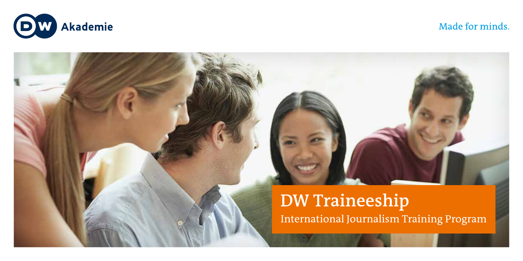

Made for minds.

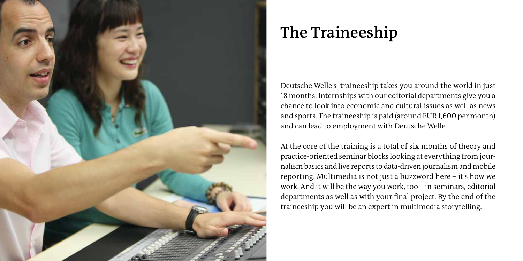

# **The Traineeship**

Deutsche Welle's traineeship takes you around the world in just 18 months. Internships with our editorial departments give you a chance to look into economic and cultural issues as well as news and sports. The traineeship is paid (around EUR 1,600 per month) and can lead to employment with Deutsche Welle.

At the core of the training is a total of six months of theory and practice-oriented seminar blocks looking at everything from journalism basics and live reports to data-driven journalism and mobile reporting. Multimedia is not just a buzzword here – it's how we work. And it will be the way you work, too – in seminars, editorial departments as well as with your final project. By the end of the traineeship you will be an expert in multimedia storytelling.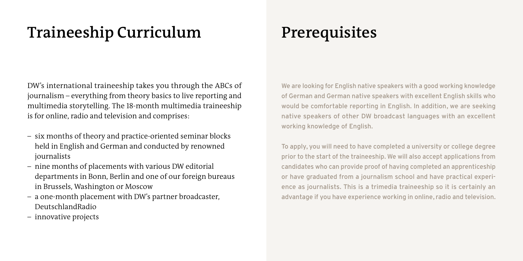# **Traineeship Curriculum**

DW's international traineeship takes you through the ABCs of journalism – everything from theory basics to live reporting and multimedia storytelling. The 18-month multimedia traineeship is for online, radio and television and comprises:

- six months of theory and practice-oriented seminar blocks held in English and German and conducted by renowned journalists
- nine months of placements with various DW editorial departments in Bonn, Berlin and one of our foreign bureaus in Brussels, Washington or Moscow
- a one-month placement with DW's partner broadcaster, DeutschlandRadio
- innovative projects

### **Prerequisites**

We are looking for English native speakers with a good working knowledge of German and German native speakers with excellent English skills who would be comfortable reporting in English. In addition, we are seeking native speakers of other DW broadcast languages with an excellent working knowledge of English.

To apply, you will need to have completed a university or college degree prior to the start of the traineeship. We will also accept applications from candidates who can provide proof of having completed an apprenticeship or have graduated from a journalism school and have practical experience as journalists. This is a trimedia traineeship so it is certainly an advantage if you have experience working in online, radio and television.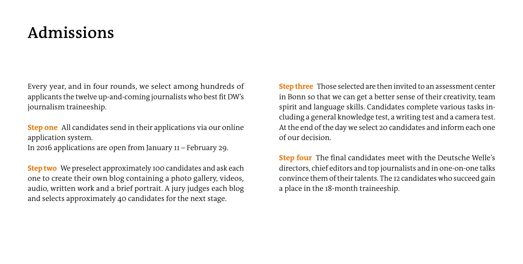#### **Admissions**

Every year, and in four rounds, we select among hundreds of applicants the twelve up-and-coming journalists who best fit DW's journalism traineeship.

**Step one** All candidates send in their applications via our online application system. In 2016 applications are open from January 11 – February 29.

**Step two** We preselect approximately 100 candidates and ask each one to create their own blog containing a photo gallery, videos, audio, written work and a brief portrait. A jury judges each blog and selects approximately 40 candidates for the next stage.

**Step three** Those selected are then invited to an assessment center in Bonn so that we can get a better sense of their creativity, team spirit and language skills. Candidates complete various tasks including a general knowledge test, a writing test and a camera test. At the end of the day we select 20 candidates and inform each one of our decision.

**Step four** The final candidates meet with the Deutsche Welle's directors, chief editors and top journalists and in one-on-one talks convince them of their talents. The 12 candidates who succeed gain a place in the 18-month traineeship.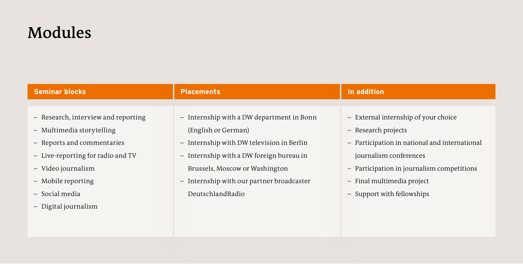### **Modules**

| <b>Seminar blocks</b>               | <b>Placements</b>                         | In addition                                   |
|-------------------------------------|-------------------------------------------|-----------------------------------------------|
|                                     |                                           |                                               |
| - Research, interview and reporting | - Internship with a DW department in Bonn | - External internship of your choice          |
| - Multimedia storytelling           | (English or German)                       | Research projects<br>$\overline{\phantom{0}}$ |
| - Reports and commentaries          | - Internship with DW television in Berlin | - Participation in national and international |
| - Live-reporting for radio and TV   | - Internship with a DW foreign bureau in  | journalism conferences                        |
| - Video journalism                  | Brussels, Moscow or Washington            | - Participation in journalism competitions    |
| - Mobile reporting                  | - Internship with our partner broadcaster | - Final multimedia project                    |
| - Social media                      | DeutschlandRadio                          | - Support with fellowships                    |
| - Digital journalism                |                                           |                                               |
|                                     |                                           |                                               |
|                                     |                                           |                                               |